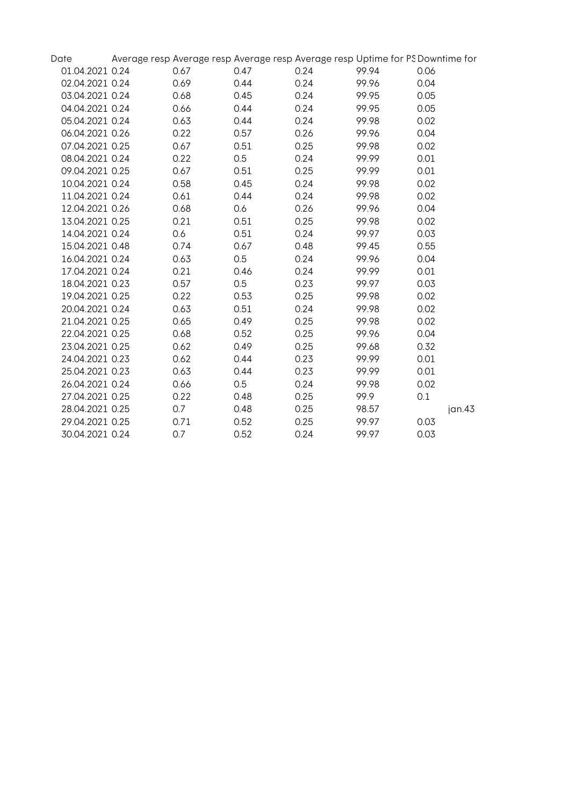| Date            |      |      | Average resp Average resp Average resp Average resp Uptime for PS Downtime for |       |      |        |
|-----------------|------|------|--------------------------------------------------------------------------------|-------|------|--------|
| 01.04.2021 0.24 | 0.67 | 0.47 | 0.24                                                                           | 99.94 | 0.06 |        |
| 02.04.2021 0.24 | 0.69 | 0.44 | 0.24                                                                           | 99.96 | 0.04 |        |
| 03.04.2021 0.24 | 0.68 | 0.45 | 0.24                                                                           | 99.95 | 0.05 |        |
| 04.04.2021 0.24 | 0.66 | 0.44 | 0.24                                                                           | 99.95 | 0.05 |        |
| 05.04.2021 0.24 | 0.63 | 0.44 | 0.24                                                                           | 99.98 | 0.02 |        |
| 06.04.2021 0.26 | 0.22 | 0.57 | 0.26                                                                           | 99.96 | 0.04 |        |
| 07.04.2021 0.25 | 0.67 | 0.51 | 0.25                                                                           | 99.98 | 0.02 |        |
| 08.04.2021 0.24 | 0.22 | 0.5  | 0.24                                                                           | 99.99 | 0.01 |        |
| 09.04.2021 0.25 | 0.67 | 0.51 | 0.25                                                                           | 99.99 | 0.01 |        |
| 10.04.2021 0.24 | 0.58 | 0.45 | 0.24                                                                           | 99.98 | 0.02 |        |
| 11.04.2021 0.24 | 0.61 | 0.44 | 0.24                                                                           | 99.98 | 0.02 |        |
| 12.04.2021 0.26 | 0.68 | 0.6  | 0.26                                                                           | 99.96 | 0.04 |        |
| 13.04.2021 0.25 | 0.21 | 0.51 | 0.25                                                                           | 99.98 | 0.02 |        |
| 14.04.2021 0.24 | 0.6  | 0.51 | 0.24                                                                           | 99.97 | 0.03 |        |
| 15.04.2021 0.48 | 0.74 | 0.67 | 0.48                                                                           | 99.45 | 0.55 |        |
| 16.04.2021 0.24 | 0.63 | 0.5  | 0.24                                                                           | 99.96 | 0.04 |        |
| 17.04.2021 0.24 | 0.21 | 0.46 | 0.24                                                                           | 99.99 | 0.01 |        |
| 18.04.2021 0.23 | 0.57 | 0.5  | 0.23                                                                           | 99.97 | 0.03 |        |
| 19.04.2021 0.25 | 0.22 | 0.53 | 0.25                                                                           | 99.98 | 0.02 |        |
| 20.04.2021 0.24 | 0.63 | 0.51 | 0.24                                                                           | 99.98 | 0.02 |        |
| 21.04.2021 0.25 | 0.65 | 0.49 | 0.25                                                                           | 99.98 | 0.02 |        |
| 22.04.2021 0.25 | 0.68 | 0.52 | 0.25                                                                           | 99.96 | 0.04 |        |
| 23.04.2021 0.25 | 0.62 | 0.49 | 0.25                                                                           | 99.68 | 0.32 |        |
| 24.04.2021 0.23 | 0.62 | 0.44 | 0.23                                                                           | 99.99 | 0.01 |        |
| 25.04.2021 0.23 | 0.63 | 0.44 | 0.23                                                                           | 99.99 | 0.01 |        |
| 26.04.2021 0.24 | 0.66 | 0.5  | 0.24                                                                           | 99.98 | 0.02 |        |
| 27.04.2021 0.25 | 0.22 | 0.48 | 0.25                                                                           | 99.9  | 0.1  |        |
| 28.04.2021 0.25 | 0.7  | 0.48 | 0.25                                                                           | 98.57 |      | jan.43 |
| 29.04.2021 0.25 | 0.71 | 0.52 | 0.25                                                                           | 99.97 | 0.03 |        |
| 30.04.2021 0.24 | 0.7  | 0.52 | 0.24                                                                           | 99.97 | 0.03 |        |